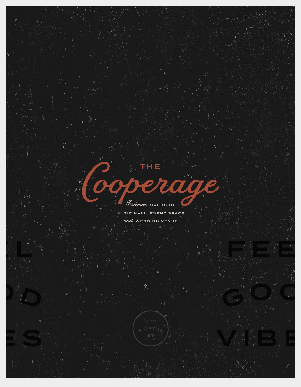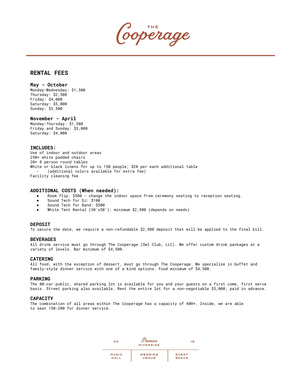Cooperage

### **RENTAL FEES**

#### **May - October**

Monday-Wednesday: \$1,500 Thursday: \$2,500 Friday: \$4,000 Saturday: \$5,000 Sunday: \$3,500

**November - April** Monday-Thursday: \$1,500 Friday and Sunday: \$3,000 Saturday: \$4,000

#### **INCLUDES:**

Use of indoor and outdoor areas 250+ white padded chairs 20+ 8 person round tables White or black linens for up to 150 people; \$20 per each additional table (additional colors available for extra fee) Facility cleaning fee

#### **ADDITIONAL COSTS (When needed):**

- Room flip: \$500 change the indoor space from ceremony seating to reception seating.
- Sound Tech for DJ: \$100
- Sound Tech for Band: \$500
- White Tent Rental (30'x50'): minimum \$2,500 (depends on needs)

#### **DEPOSIT**

To secure the date, we require a non-refundable \$2,500 deposit that will be applied to the final bill.

#### **BEVERAGES**

All drink service must go through The Cooperage (Owl Club, LLC). We offer custom drink packages at a variety of levels. Bar minimum of \$4,500.

#### **CATERING**

All food, with the exception of dessert, must go through The Cooperage. We specialize in buffet and family-style dinner service with one of a kind options. Food minimum of \$4,500.

#### **PARKING**

The 80-car public, shared parking lot is available for you and your guests on a first come, first serve basis. Street parking also available. Rent the entire lot for a non-negotiable \$5,000; paid in advance.

#### **CAPACITY**

The combination of all areas within The Cooperage has a capacity of 400+. Inside, we are able to seat 150-200 for dinner service.

| 20           | Tremier<br><b>RIVERSIDE</b> | 18    |
|--------------|-----------------------------|-------|
|              |                             |       |
| <b>MUSIC</b> | WEDDING                     | EVENT |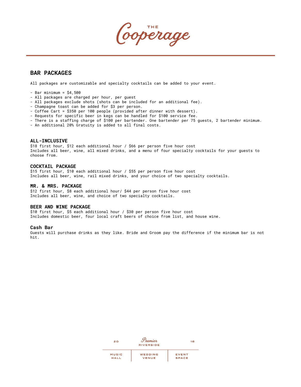coperage

### **BAR PACKAGES**

All packages are customizable and specialty cocktails can be added to your event.

- $-$  Bar minimum =  $$4,500$
- All packages are charged per hour, per guest
- All packages exclude shots (shots can be included for an additional fee).
- Champagne toast can be added for \$3 per person.
- Coffee Cart = \$350 per 100 people (provided after dinner with dessert).
- Requests for specific beer in kegs can be handled for \$100 service fee.
- There is a staffing charge of \$100 per bartender. One bartender per 75 guests, 2 bartender minimum.
- An additional 20% Gratuity is added to all final costs.

#### **ALL-INCLUSIVE**

\$18 first hour, \$12 each additional hour / \$66 per person five hour cost Includes all beer, wine, all mixed drinks, and a menu of four specialty cocktails for your guests to choose from.

#### **COCKTAIL PACKAGE**

\$15 first hour, \$10 each additional hour / \$55 per person five hour cost Includes all beer, wine, rail mixed drinks, and your choice of two specialty cocktails.

#### **MR. & MRS. PACKAGE**

\$12 first hour, \$8 each additional hour/ \$44 per person five hour cost Includes all beer, wine, and choice of two specialty cocktails.

#### **BEER AND WINE PACKAGE**

\$10 first hour, \$5 each additional hour / \$30 per person five hour cost Includes domestic beer, four local craft beers of choice from list, and house wine.

#### **Cash Bar**

Guests will purchase drinks as they like. Bride and Groom pay the difference if the minimum bar is not hit.

| 20           | Tremier<br><b>RIVERSIDE</b> | 18    |
|--------------|-----------------------------|-------|
| <b>MUSIC</b> | WEDDING                     | EVENT |
| HALL         | VENUE                       |       |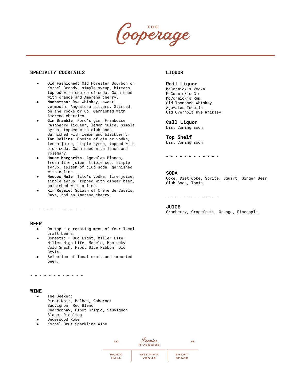perage

#### **SPECIALTY COCKTAILS**

- **Old Fashioned**: Old Forester Bourbon or Korbel Brandy, simple syrup, bitters, topped with choice of soda. Garnished with orange and Amerena cherry.
- **Manhattan**: Rye whiskey, sweet vermouth, Angostura bitters. Stirred, on the rocks or up. Garnished with Amerena cherries.
- Gin Bramble: Ford's gin, Framboise Raspberry liqueur, lemon juice, simple syrup, topped with club soda. Garnished with lemon and blackberry.
- **Tom Collins**: Choice of gin or vodka, lemon juice, simple syrup, topped with club soda. Garnished with lemon and rosemary.
- **House Margarita**: Agavales Blanco, fresh lime juice, triple sec, simple syrup, splash of club soda, garnished with a lime.
- **Moscow Mule**: Tito's Vodka, lime juice, simple syrup, topped with ginger beer, garnished with a lime.
- Kir Royale: Splash of Creme de Cassis, Cava, and an Amerena cherry.

#### - - - - - - - - - - - -

#### **BEER**

- On tap a rotating menu of four local craft beers.
- Domestic Bud Light, Miller Lite, Miller High Life, Modelo, Montucky Cold Snack, Pabst Blue Ribbon, Old Style.
- Selection of local craft and imported beer.

#### - - - - - - - - - - - -

#### **WINE**

- The Seeker: Pinot Noir, Malbec, Cabernet Sauvignon, Red Blend Chardonnay, Pinot Grigio, Sauvignon Blanc, Riesling
- Underwood Rose
- Korbel Brut Sparkling Wine

#### **LIQUOR**

#### **Rail Liquor**

McCormick's Vodka McCormick's Gin McCormick's Rum Old Thompson Whiskey Agavales Tequila Old Overholt Rye Whiksey

#### **Call Liquor** List Coming soon.

**Top Shelf** List Coming soon.

- - - - - - - - - - - -

#### **SODA**

Coke, Diet Coke, Sprite, Squirt, Ginger Beer, Club Soda, Tonic.

- - - - - - - - - - - -

#### **JUICE**

Cranberry, Grapefruit, Orange, Pineapple.

| 20           | Tremier<br><b>RIVERSIDE</b> | 18           |
|--------------|-----------------------------|--------------|
| <b>MUSIC</b> | WEDDING                     | EVENT        |
| HALL         | VENUE                       | <b>SPACE</b> |
|              |                             |              |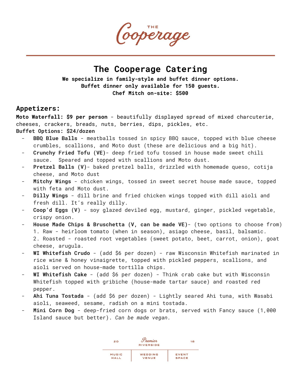Cooperage

# **The Cooperage Catering**

**We specialize in family-style and buffet dinner options. Buffet dinner only available for 150 guests. Chef Mitch on-site: \$500**

# **Appetizers:**

**Moto Waterfall: \$9 per person** - beautifully displayed spread of mixed charcuterie, cheeses, crackers, breads, nuts, berries, dips, pickles, etc.

**Buffet Options: \$24/dozen**

- **BBQ Blue Balls** meatballs tossed in spicy BBQ sauce, topped with blue cheese crumbles, scallions, and Moto dust (these are delicious and a big hit).
- **Crunchy Fried Tofu (VE)** deep fried tofu tossed in house made sweet chili sauce. Speared and topped with scallions and Moto dust.
- Pretzel Balls (V)- baked pretzel balls, drizzled with homemade queso, cotija cheese, and Moto dust
- Mitchy Wings chicken wings, tossed in sweet secret house made sauce, topped with feta and Moto dust.
- Dilly Wings dill brine and fried chicken wings topped with dill aioli and fresh dill. It's really dilly.
- **Coop'd Eggs (V)** soy glazed deviled egg, mustard, ginger, pickled vegetable, crispy onion.
- House Made Chips & Bruschetta (V, can be made VE)- (two options to choose from) 1. Raw - heirloom tomato (when in season), asiago cheese, basil, balsamic. 2. Roasted - roasted root vegetables (sweet potato, beet, carrot, onion), goat cheese, arugula.
- WI Whitefish Crudo (add \$6 per dozen) raw Wisconsin Whitefish marinated in rice wine & honey vinaigrette, topped with pickled peppers, scallions, and aioli served on house-made tortilla chips.
- WI Whitefish Cake (add \$6 per dozen) Think crab cake but with Wisconsin Whitefish topped with gribiche (house-made tartar sauce) and roasted red pepper.
- Ahi Tuna Tostada (add \$6 per dozen) Lightly seared Ahi tuna, with Wasabi aioli, seaweed, sesame, radish on a mini tostada.
- Mini Corn Dog deep-fried corn dogs or brats, served with Fancy sauce (1,000 Island sauce but better). *Can be made vegan.*

| 20           | Tremier<br><b>RIVERSIDE</b> | 18           |
|--------------|-----------------------------|--------------|
| <b>MUSIC</b> | WEDDING                     | <b>EVENT</b> |
| HALL         | VENUE                       | <b>SPACE</b> |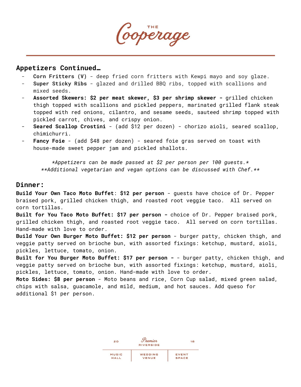Cooperage

# **Appetizers Continued…**

- **Corn Fritters (V)** deep fried corn fritters with Kewpi mayo and soy glaze.
- **Super Sticky Ribs** glazed and drilled BBQ ribs, topped with scallions and mixed seeds.
- **Assorted Skewers: \$2 per meat skewer, \$3 per shrimp skewer -** grilled chicken thigh topped with scallions and pickled peppers, marinated grilled flank steak topped with red onions, cilantro, and sesame seeds, sauteed shrimp topped with pickled carrot, chives, and crispy onion.
- **Seared Scallop Crostini** (add \$12 per dozen) chorizo aioli, seared scallop, chimichurri.
- **Fancy Foie** (add \$48 per dozen) seared foie gras served on toast with house-made sweet pepper jam and pickled shallots.

*\*Appetizers can be made passed at \$2 per person per 100 guests.\* \*\*Additional vegetarian and vegan options can be discussed with Chef.\*\**

# **Dinner:**

**Build Your Own Taco Moto Buffet**: **\$12 per person** - guests have choice of Dr. Pepper braised pork, grilled chicken thigh, and roasted root veggie taco. All served on corn tortillas.

**Built for You Taco Moto Buffet: \$17 per person -** choice of Dr. Pepper braised pork, grilled chicken thigh, and roasted root veggie taco. All served on corn tortillas. Hand-made with love to order.

**Build Your Own Burger Moto Buffet: \$12 per person** - burger patty, chicken thigh, and veggie patty served on brioche bun, with assorted fixings: ketchup, mustard, aioli, pickles, lettuce, tomato, onion.

**Built for You Burger Moto Buffet: \$17 per person -** - burger patty, chicken thigh, and veggie patty served on brioche bun, with assorted fixings: ketchup, mustard, aioli, pickles, lettuce, tomato, onion. Hand-made with love to order.

**Moto Sides: \$8 per person** - Moto beans and rice, Corn Cup salad, mixed green salad, chips with salsa, guacamole, and mild, medium, and hot sauces. Add queso for additional \$1 per person.

| 20           | Tremier<br><b>RIVERSIDE</b> | 18           |
|--------------|-----------------------------|--------------|
| <b>MUSIC</b> | WEDDING                     | <b>EVENT</b> |
| HALL         | VENUE                       | <b>SPACE</b> |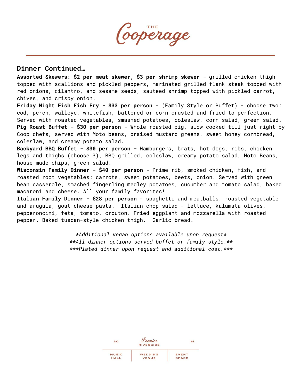Cooperage

# **Dinner Continued…**

**Assorted Skewers: \$2 per meat skewer, \$3 per shrimp skewer -** grilled chicken thigh topped with scallions and pickled peppers, marinated grilled flank steak topped with red onions, cilantro, and sesame seeds, sauteed shrimp topped with pickled carrot, chives, and crispy onion.

**Friday Night Fish Fish Fry - \$33 per person** - (Family Style or Buffet) - choose two: cod, perch, walleye, whitefish, battered or corn crusted and fried to perfection. Served with roasted vegetables, smashed potatoes, coleslaw, corn salad, green salad. **Pig Roast Buffet - \$30 per person -** Whole roasted pig, slow cooked till just right by Coop chefs, served with Moto beans, braised mustard greens, sweet honey cornbread, coleslaw, and creamy potato salad.

**Backyard BBQ Buffet - \$30 per person -** Hamburgers, brats, hot dogs, ribs, chicken legs and thighs (choose 3), BBQ grilled, coleslaw, creamy potato salad, Moto Beans, house-made chips, green salad.

**Wisconsin Family Dinner - \$40 per person -** Prime rib, smoked chicken, fish, and roasted root vegetables: carrots, sweet potatoes, beets, onion. Served with green bean casserole, smashed fingerling medley potatoes, cucumber and tomato salad, baked macaroni and cheese. All your family favorites!

**Italian Family Dinner - \$28 per person** - spaghetti and meatballs, roasted vegetable and arugula, goat cheese pasta. Italian chop salad - lettuce, kalamata olives, pepperoncini, feta, tomato, crouton. Fried eggplant and mozzarella with roasted pepper. Baked tuscan-style chicken thigh. Garlic bread.

> *\*Additional vegan options available upon request\* \*\*All dinner options served buffet or family-style.\*\* \*\*\*Plated dinner upon request and additional cost.\*\*\**

| 20           | Tremier          | 18           |
|--------------|------------------|--------------|
|              | <b>RIVERSIDE</b> |              |
|              |                  |              |
| <b>MUSIC</b> | WEDDING          | <b>EVENT</b> |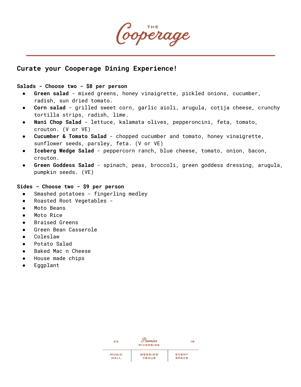Cooperage

# **Curate your Cooperage Dining Experience!**

# **Salads - Choose two - \$8 per person**

- **Green salad** mixed greens, honey vinaigrette, pickled onions, cucumber, radish, sun dried tomato.
- **Corn salad** grilled sweet corn, garlic aioli, arugula, cotija cheese, crunchy tortilla strips, radish, lime.
- Nani Chop Salad lettuce, kalamata olives, pepperoncini, feta, tomato, crouton. (V or VE)
- **Cucumber & Tomato Salad** chopped cucumber and tomato, honey vinaigrette, sunflower seeds, parsley, feta. (V or VE)
- **Iceberg Wedge Salad** peppercorn ranch, blue cheese, tomato, onion, bacon, crouton.
- Green Goddess Salad spinach, peas, broccoli, green goddess dressing, arugula, pumpkin seeds. (VE)

### **Sides - Choose two - \$9 per person**

- Smashed potatoes fingerling medley
- Roasted Root Vegetables -
- Moto Beans
- Moto Rice
- Braised Greens
- Green Bean Casserole
- Coleslaw
- Potato Salad
- Baked Mac n Cheese
- House made chips
- Eggplant

| 20           | remier<br><b>RIVERSIDE</b> | 18           |
|--------------|----------------------------|--------------|
| <b>MUSIC</b> | WEDDING                    |              |
|              |                            | <b>EVENT</b> |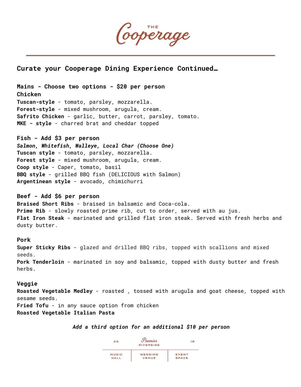

**Curate your Cooperage Dining Experience Continued…**

**Mains - Choose two options - \$20 per person Chicken Tuscan-style** - tomato, parsley, mozzarella. **Forest-style** - mixed mushroom, arugula, cream. **Safrito Chicken** - garlic, butter, carrot, parsley, tomato. **MKE - style** - charred brat and cheddar topped

**Fish - Add \$3 per person** *Salmon, Whitefish, Walleye, Local Char (Choose One)* **Tuscan style** - tomato, parsley, mozzarella. **Forest style** - mixed mushroom, arugula, cream. **Coop style** - Caper, tomato, basil **BBQ style** - grilled BBQ fish (DELICIOUS with Salmon) **Argentinean style** - avocado, chimichurri

**Beef - Add \$6 per person Braised Short Ribs** - braised in balsamic and Coca-cola. **Prime Rib** - slowly roasted prime rib, cut to order, served with au jus. **Flat Iron Steak** - marinated and grilled flat iron steak. Served with fresh herbs and dusty butter.

**Pork**

**Super Sticky Ribs** - glazed and drilled BBQ ribs, topped with scallions and mixed seeds. **Pork Tenderloin** - marinated in soy and balsamic, topped with dusty butter and fresh herbs.

### **Veggie**

**Roasted Vegetable Medley** - roasted , tossed with arugula and goat cheese, topped with sesame seeds.

**Fried Tofu** - in any sauce option from chicken **Roasted Vegetable Italian Pasta**

### *Add a third option for an additional \$10 per person*

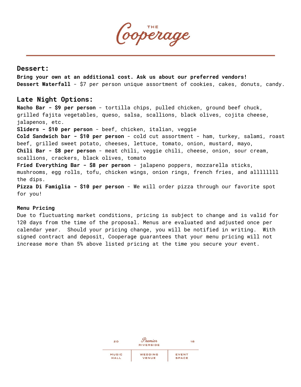Cooperage

# **Dessert:**

**Bring your own at an additional cost. Ask us about our preferred vendors! Dessert Waterfall** - \$7 per person unique assortment of cookies, cakes, donuts, candy.

# **Late Night Options:**

**Nacho Bar - \$9 per person** - tortilla chips, pulled chicken, ground beef chuck, grilled fajita vegetables, queso, salsa, scallions, black olives, cojita cheese, jalapenos, etc. **Sliders - \$10 per person** - beef, chicken, italian, veggie **Cold Sandwich bar - \$10 per person** - cold cut assortment - ham, turkey, salami, roast beef, grilled sweet potato, cheeses, lettuce, tomato, onion, mustard, mayo, **Chili Bar - \$8 per person** - meat chili, veggie chili, cheese, onion, sour cream, scallions, crackers, black olives, tomato **Fried Everything Bar - \$8 per person** - jalapeno poppers, mozzarella sticks, mushrooms, egg rolls, tofu, chicken wings, onion rings, french fries, and allllllll the dips. **Pizza Di Famiglia - \$10 per person** - We will order pizza through our favorite spot for you!

### **Menu Pricing**

Due to fluctuating market conditions, pricing is subject to change and is valid for 120 days from the time of the proposal. Menus are evaluated and adjusted once per calendar year. Should your pricing change, you will be notified in writing. With signed contract and deposit, Cooperage guarantees that your menu pricing will not increase more than 5% above listed pricing at the time you secure your event.

| 20           | Tremier<br><b>RIVERSIDE</b> | 18           |
|--------------|-----------------------------|--------------|
|              |                             |              |
| <b>MUSIC</b> | WEDDING                     | <b>EVENT</b> |